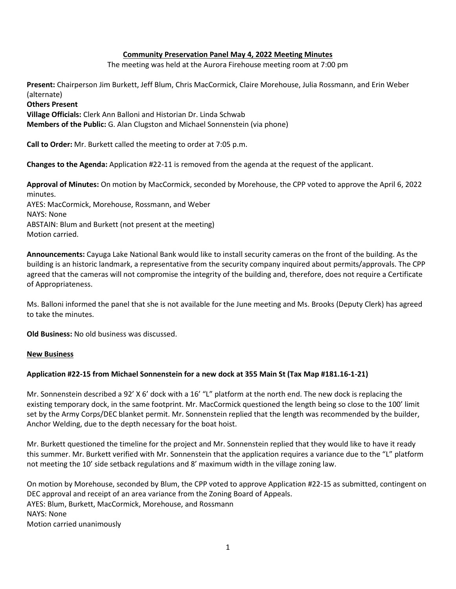## **Community Preservation Panel May 4, 2022 Meeting Minutes**

The meeting was held at the Aurora Firehouse meeting room at 7:00 pm

**Present:** Chairperson Jim Burkett, Jeff Blum, Chris MacCormick, Claire Morehouse, Julia Rossmann, and Erin Weber (alternate) **Others Present Village Officials:** Clerk Ann Balloni and Historian Dr. Linda Schwab **Members of the Public:** G. Alan Clugston and Michael Sonnenstein (via phone)

**Call to Order:** Mr. Burkett called the meeting to order at 7:05 p.m.

**Changes to the Agenda:** Application #22-11 is removed from the agenda at the request of the applicant.

**Approval of Minutes:** On motion by MacCormick, seconded by Morehouse, the CPP voted to approve the April 6, 2022 minutes. AYES: MacCormick, Morehouse, Rossmann, and Weber NAYS: None ABSTAIN: Blum and Burkett (not present at the meeting) Motion carried.

**Announcements:** Cayuga Lake National Bank would like to install security cameras on the front of the building. As the building is an historic landmark, a representative from the security company inquired about permits/approvals. The CPP agreed that the cameras will not compromise the integrity of the building and, therefore, does not require a Certificate of Appropriateness.

Ms. Balloni informed the panel that she is not available for the June meeting and Ms. Brooks (Deputy Clerk) has agreed to take the minutes.

**Old Business:** No old business was discussed.

## **New Business**

## **Application #22-15 from Michael Sonnenstein for a new dock at 355 Main St (Tax Map #181.16-1-21)**

Mr. Sonnenstein described a 92' X 6' dock with a 16' "L" platform at the north end. The new dock is replacing the existing temporary dock, in the same footprint. Mr. MacCormick questioned the length being so close to the 100' limit set by the Army Corps/DEC blanket permit. Mr. Sonnenstein replied that the length was recommended by the builder, Anchor Welding, due to the depth necessary for the boat hoist.

Mr. Burkett questioned the timeline for the project and Mr. Sonnenstein replied that they would like to have it ready this summer. Mr. Burkett verified with Mr. Sonnenstein that the application requires a variance due to the "L" platform not meeting the 10' side setback regulations and 8' maximum width in the village zoning law.

On motion by Morehouse, seconded by Blum, the CPP voted to approve Application #22-15 as submitted, contingent on DEC approval and receipt of an area variance from the Zoning Board of Appeals. AYES: Blum, Burkett, MacCormick, Morehouse, and Rossmann NAYS: None Motion carried unanimously